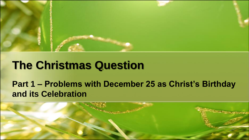

## **The Christmas Question**

### **Part 1 – Problems with December 25 as Christ's Birthday and its Celebration**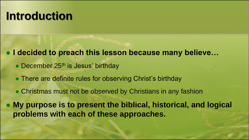# **Introduction**

⚫ **I decided to preach this lesson because many believe…**

- December 25<sup>th</sup> is Jesus' birthday
- ⚫ There are definite rules for observing Christ's birthday
- ⚫ Christmas must not be observed by Christians in any fashion

⚫ **My purpose is to present the biblical, historical, and logical problems with each of these approaches.**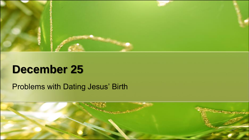

## **December 25**

Problems with Dating Jesus' Birth

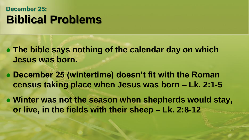## **December 25: Biblical Problems**

- ⚫ **The bible says nothing of the calendar day on which Jesus was born.**
- ⚫ **December 25 (wintertime) doesn't fit with the Roman census taking place when Jesus was born – Lk. 2:1-5**
- ⚫ **Winter was not the season when shepherds would stay, or live, in the fields with their sheep – Lk. 2:8-12**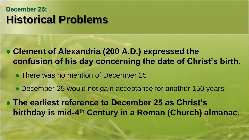### **December 25: Historical Problems**

- ⚫ **Clement of Alexandria (200 A.D.) expressed the confusion of his day concerning the date of Christ's birth.**
	- ⚫ There was no mention of December 25
	- ⚫ December 25 would not gain acceptance for another 150 years

⚫ **The earliest reference to December 25 as Christ's**  birthday is mid-4<sup>th</sup> Century in a Roman (Church) almanac.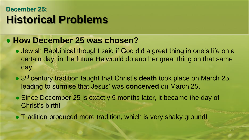### **December 25: Historical Problems**

#### ⚫ **How December 25 was chosen?**

- ⚫ Jewish Rabbinical thought said if God did a great thing in one's life on a certain day, in the future He would do another great thing on that same day.
- ⚫ 3 rd century tradition taught that Christ's **death** took place on March 25, leading to surmise that Jesus' was **conceived** on March 25.
- Since December 25 is exactly 9 months later, it became the day of Christ's birth!
- ⚫ Tradition produced more tradition, which is very shaky ground!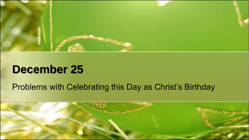

## **December 25**

#### Problems with Celebrating this Day as Christ's Birthday

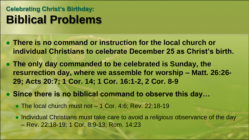### **Celebrating Christ's Birthday: Biblical Problems**

- ⚫ **There is no command or instruction for the local church or individual Christians to celebrate December 25 as Christ's birth.**
- ⚫ **The only day commanded to be celebrated is Sunday, the resurrection day, where we assemble for worship – Matt. 26:26- 29; Acts 20:7; 1 Cor. 14; 1 Cor. 16:1-2, 2 Cor. 8-9**
- ⚫ **Since there is no biblical command to observe this day…**
	- The local church must not 1 Cor. 4:6; Rev. 22:18-19
	- ⚫ Individual Christians must take care to avoid a *religious* observance of the day
		- Rev. 22:18-19; 1 Cor. 8:9-13; Rom. 14:23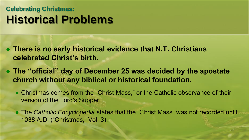## **Celebrating Christmas: Historical Problems**

- ⚫ **There is no early historical evidence that N.T. Christians celebrated Christ's birth.**
- ⚫ **The "official" day of December 25 was decided by the apostate church without any biblical or historical foundation.**
	- ⚫ Christmas comes from the "Christ-Mass," or the Catholic observance of their version of the Lord's Supper.
	- ⚫ The *Catholic Encyclopedia* states that the "Christ Mass" was not recorded until 1038 A.D. ("Christmas," Vol. 3).